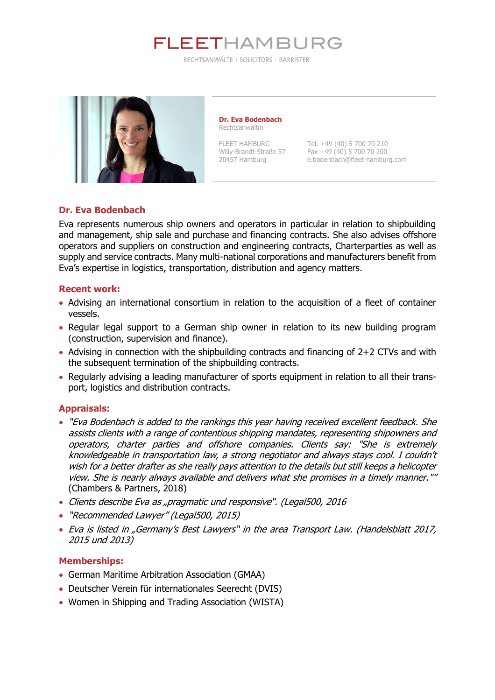

RECHTSANWÄLTE | SOLICITORS | BARRISTER



**Dr. Eva Bodenbach** Rechtsanwältin

FLEET HAMBURG Tel. +49 (40) 5 700 70 210 Willy-Brandt-Straße 57 Fax +49 (40) 5 700 70 200<br>20457 Hamburg e.bodenbach@fleet-hamburg e.bodenbach@fleet-hamburg.com

### **Dr. Eva Bodenbach**

Eva represents numerous ship owners and operators in particular in relation to shipbuilding and management, ship sale and purchase and financing contracts. She also advises offshore operators and suppliers on construction and engineering contracts, Charterparties as well as supply and service contracts. Many multi-national corporations and manufacturers benefit from Eva's expertise in logistics, transportation, distribution and agency matters.

#### **Recent work:**

- Advising an international consortium in relation to the acquisition of a fleet of container vessels.
- Regular legal support to a German ship owner in relation to its new building program (construction, supervision and finance).
- Advising in connection with the shipbuilding contracts and financing of 2+2 CTVs and with the subsequent termination of the shipbuilding contracts.
- Regularly advising a leading manufacturer of sports equipment in relation to all their transport, logistics and distribution contracts.

#### **Appraisals:**

- "Eva Bodenbach is added to the rankings this year having received excellent feedback. She assists clients with a range of contentious shipping mandates, representing shipowners and operators, charter parties and offshore companies. Clients say: "She is extremely knowledgeable in transportation law, a strong negotiator and always stays cool. I couldn't wish for a better drafter as she really pays attention to the details but still keeps a helicopter view. She is nearly always available and delivers what she promises in a timely manner."" (Chambers & Partners, 2018)
- Clients describe Eva as "pragmatic und responsive". (Legal500, 2016
- "Recommended Lawyer" (Legal500, 2015)
- Eva is listed in "Germany's Best Lawyers" in the area Transport Law. (Handelsblatt 2017, 2015 und 2013)

#### **Memberships:**

- German Maritime Arbitration Association (GMAA)
- Deutscher Verein für internationales Seerecht (DVIS)
- Women in Shipping and Trading Association (WISTA)